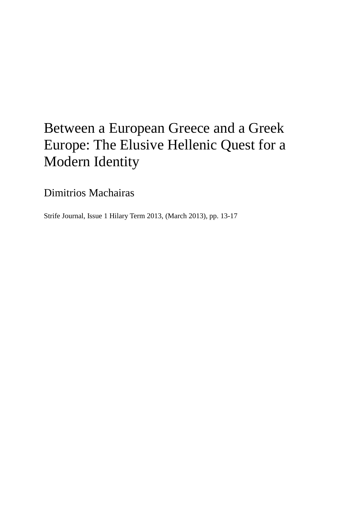## Between a European Greece and a Greek Europe: The Elusive Hellenic Quest for a Modern Identity

Dimitrios Machairas

Strife Journal, Issue 1 Hilary Term 2013, (March 2013), pp. 13-17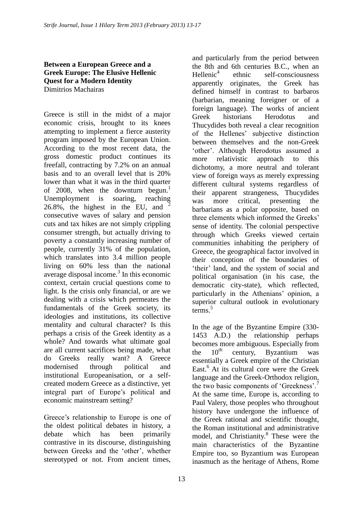## **Between a European Greece and a Greek Europe: The Elusive Hellenic Quest for a Modern Identity** Dimitrios Machairas

Greece is still in the midst of a major economic crisis, brought to its knees attempting to implement a fierce austerity program imposed by the European Union. According to the most recent data, the gross domestic product continues its freefall, contracting by 7.2% on an annual basis and to an overall level that is 20% lower than what it was in the third quarter of 2008, when the downturn begun.<sup>1</sup> Unemployment is soaring, reaching 26.8%, the highest in the EU, and <sup>2</sup> consecutive waves of salary and pension cuts and tax hikes are not simply crippling consumer strength, but actually driving to poverty a constantly increasing number of people, currently 31% of the population, which translates into 3.4 million people living on 60% less than the national average disposal income.<sup>3</sup> In this economic context, certain crucial questions come to light. Is the crisis only financial, or are we dealing with a crisis which permeates the fundamentals of the Greek society, its ideologies and institutions, its collective mentality and cultural character? Is this perhaps a crisis of the Greek identity as a whole? And towards what ultimate goal are all current sacrifices being made, what do Greeks really want? A Greece modernised through political and institutional Europeanisation, or a selfcreated modern Greece as a distinctive, yet integral part of Europe's political and economic mainstream setting?

Greece"s relationship to Europe is one of the oldest political debates in history, a debate which has been primarily contrastive in its discourse, distinguishing between Greeks and the "other", whether stereotyped or not. From ancient times, and particularly from the period between the 8th and 6th centuries B.C., when an  $H$ ellenic<sup>4</sup> ethnic self-consciousness apparently originates, the Greek has defined himself in contrast to barbaros (barbarian, meaning foreigner or of a foreign language). The works of ancient Greek historians Herodotus and Thucydides both reveal a clear recognition of the Hellenes" subjective distinction between themselves and the non-Greek "other". Although Herodotus assumed a more relativistic approach to this dichotomy, a more neutral and tolerant view of foreign ways as merely expressing different cultural systems regardless of their apparent strangeness, Thucydides was more critical, presenting the barbarians as a polar opposite, based on three elements which informed the Greeks" sense of identity. The colonial perspective through which Greeks viewed certain communities inhabiting the periphery of Greece, the geographical factor involved in their conception of the boundaries of "their" land, and the system of social and political organisation (in his case, the democratic city-state), which reflected, particularly in the Athenians' opinion, a superior cultural outlook in evolutionary terms.<sup>5</sup>

In the age of the Byzantine Empire (330- 1453 A.D.) the relationship perhaps becomes more ambiguous. Especially from<br>the  $10^{th}$  century Byzantium was the  $10^{th}$  century, Byzantium was essentially a Greek empire of the Christian East.<sup>6</sup> At its cultural core were the Greek language and the Greek-Orthodox religion, the two basic components of 'Greekness'.<sup>7</sup> At the same time, Europe is, according to Paul Valery, those peoples who throughout history have undergone the influence of the Greek rational and scientific thought, the Roman institutional and administrative model, and Christianity.<sup>8</sup> These were the main characteristics of the Byzantine Empire too, so Byzantium was European inasmuch as the heritage of Athens, Rome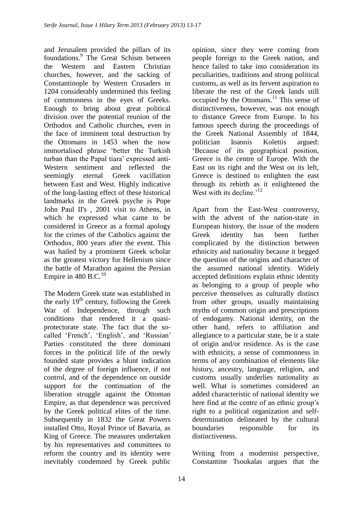and Jerusalem provided the pillars of its foundations.<sup>9</sup> The Great Schism between the Western and Eastern Christian churches, however, and the sacking of Constantinople by Western Crusaders in 1204 considerably undermined this feeling of commonness in the eyes of Greeks. Enough to bring about great political division over the potential reunion of the Orthodox and Catholic churches, even in the face of imminent total destruction by the Ottomans in 1453 when the now immortalised phrase "better the Turkish turban than the Papal tiara' expressed anti-Western sentiment and reflected the seemingly eternal Greek vacillation between East and West. Highly indicative of the long-lasting effect of these historical landmarks in the Greek psyche is Pope John Paul II's , 2001 visit to Athens, in which he expressed what came to be considered in Greece as a formal apology for the crimes of the Catholics against the Orthodox, 800 years after the event. This was hailed by a prominent Greek scholar as the greatest victory for Hellenism since the battle of Marathon against the Persian Empire in 480 B.C. $^{10}$ 

The Modern Greek state was established in the early  $19<sup>th</sup>$  century, following the Greek War of Independence, through such conditions that rendered it a quasiprotectorate state. The fact that the socalled 'French', 'English', and 'Russian' Parties constituted the three dominant forces in the political life of the newly founded state provides a blunt indication of the degree of foreign influence, if not control, and of the dependence on outside support for the continuation of the liberation struggle against the Ottoman Empire, as that dependence was perceived by the Greek political elites of the time. Subsequently in 1832 the Great Powers installed Otto, Royal Prince of Bavaria, as King of Greece. The measures undertaken by his representatives and committees to reform the country and its identity were inevitably condemned by Greek public

opinion, since they were coming from people foreign to the Greek nation, and hence failed to take into consideration its peculiarities, traditions and strong political customs, as well as its fervent aspiration to liberate the rest of the Greek lands still occupied by the Ottomans. $^{11}$  This sense of distinctiveness, however, was not enough to distance Greece from Europe. In his famous speech during the proceedings of the Greek National Assembly of 1844, politician Ioannis Kolettis argued: "Because of its geographical position, Greece is the centre of Europe. With the East on its right and the West on its left, Greece is destined to enlighten the east through its rebirth as it enlightened the West with its decline.<sup> $12$ </sup>

Apart from the East-West controversy, with the advent of the nation-state in European history, the issue of the modern Greek identity has been further complicated by the distinction between ethnicity and nationality because it begged the question of the origins and character of the assumed national identity. Widely accepted definitions explain ethnic identity as belonging to a group of people who perceive themselves as culturally distinct from other groups, usually maintaining myths of common origin and prescriptions of endogamy. National identity, on the other hand, refers to affiliation and allegiance to a particular state, be it a state of origin and/or residence. As is the case with ethnicity, a sense of commonness in terms of any combination of elements like history, ancestry, language, religion, and customs usually underlies nationality as well. What is sometimes considered an added characteristic of national identity we here find at the centre of an ethnic group's right to a political organization and selfdetermination delineated by the cultural boundaries responsible for its distinctiveness.

Writing from a modernist perspective, Constantine Tsoukalas argues that the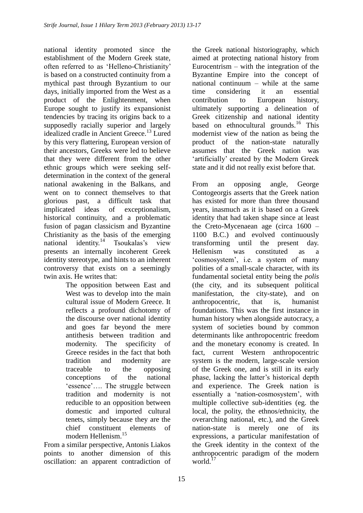national identity promoted since the establishment of the Modern Greek state, often referred to as "Helleno-Christianity" is based on a constructed continuity from a mythical past through Byzantium to our days, initially imported from the West as a product of the Enlightenment, when Europe sought to justify its expansionist tendencies by tracing its origins back to a supposedly racially superior and largely idealized cradle in Ancient Greece.<sup>13</sup> Lured by this very flattering, European version of their ancestors, Greeks were led to believe that they were different from the other ethnic groups which were seeking selfdetermination in the context of the general national awakening in the Balkans, and went on to connect themselves to that glorious past, a difficult task that implicated ideas of exceptionalism, historical continuity, and a problematic fusion of pagan classicism and Byzantine Christianity as the basis of the emerging national identity.<sup>14</sup> Tsoukalas's view presents an internally incoherent Greek identity stereotype, and hints to an inherent controversy that exists on a seemingly twin axis. He writes that:

The opposition between East and West was to develop into the main cultural issue of Modern Greece. It reflects a profound dichotomy of the discourse over national identity and goes far beyond the mere antithesis between tradition and modernity. The specificity of Greece resides in the fact that both tradition and modernity are traceable to the opposing conceptions of the national 'essence'.... The struggle between tradition and modernity is not reducible to an opposition between domestic and imported cultural tenets, simply because they are the chief constituent elements of modern Hellenism.<sup>15</sup>

From a similar perspective, Antonis Liakos points to another dimension of this oscillation: an apparent contradiction of the Greek national historiography, which aimed at protecting national history from Eurocentrism  $-$  with the integration of the Byzantine Empire into the concept of national continuum – while at the same time considering it an essential contribution to European history, ultimately supporting a delineation of Greek citizenship and national identity based on ethnocultural grounds.<sup>16</sup> This modernist view of the nation as being the product of the nation-state naturally assumes that the Greek nation was 'artificially' created by the Modern Greek state and it did not really exist before that.

From an opposing angle, George Contogeorgis asserts that the Greek nation has existed for more than three thousand years, inasmuch as it is based on a Greek identity that had taken shape since at least the Creto-Mycenaean age (circa 1600 – 1100 B.C.) and evolved continuously transforming until the present day. Hellenism was constituted as a "cosmosystem", i.e. a system of many polities of a small-scale character, with its fundamental societal entity being the *polis* (the city, and its subsequent political manifestation, the city-state), and on anthropocentric, that is, humanist foundations. This was the first instance in human history when alongside autocracy, a system of societies bound by common determinants like anthropocentric freedom and the monetary economy is created. In fact, current Western anthropocentric system is the modern, large-scale version of the Greek one, and is still in its early phase, lacking the latter"s historical depth and experience. The Greek nation is essentially a "nation-cosmosystem", with multiple collective sub-identities (eg. the local, the polity, the ethnos/ethnicity, the overarching national, etc.), and the Greek nation-state is merely one of its expressions, a particular manifestation of the Greek identity in the context of the anthropocentric paradigm of the modern world. $^{17}$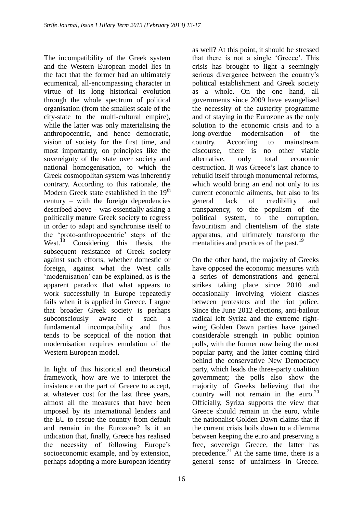The incompatibility of the Greek system and the Western European model lies in the fact that the former had an ultimately ecumenical, all-encompassing character in virtue of its long historical evolution through the whole spectrum of political organisation (from the smallest scale of the city-state to the multi-cultural empire), while the latter was only materialising the anthropocentric, and hence democratic, vision of society for the first time, and most importantly, on principles like the sovereignty of the state over society and national homogenisation, to which the Greek cosmopolitan system was inherently contrary. According to this rationale, the Modern Greek state established in the 19<sup>th</sup> century – with the foreign dependencies described above – was essentially asking a politically mature Greek society to regress in order to adapt and synchronise itself to the "proto-anthropocentric" steps of the West.<sup>18</sup> Considering this thesis, the subsequent resistance of Greek society against such efforts, whether domestic or foreign, against what the West calls 'modernisation' can be explained, as is the apparent paradox that what appears to work successfully in Europe repeatedly fails when it is applied in Greece. I argue that broader Greek society is perhaps subconsciously aware of such a fundamental incompatibility and thus tends to be sceptical of the notion that modernisation requires emulation of the Western European model.

In light of this historical and theoretical framework, how are we to interpret the insistence on the part of Greece to accept, at whatever cost for the last three years, almost all the measures that have been imposed by its international lenders and the EU to rescue the country from default and remain in the Eurozone? Is it an indication that, finally, Greece has realised the necessity of following Europe's socioeconomic example, and by extension, perhaps adopting a more European identity

as well? At this point, it should be stressed that there is not a single "Greece". This crisis has brought to light a seemingly serious divergence between the country"s political establishment and Greek society as a whole. On the one hand, all governments since 2009 have evangelised the necessity of the austerity programme and of staying in the Eurozone as the only solution to the economic crisis and to a long-overdue modernisation of the country. According to mainstream discourse, there is no other viable alternative, only total economic destruction. It was Greece's last chance to rebuild itself through monumental reforms, which would bring an end not only to its current economic ailments, but also to its general lack of credibility and transparency, to the populism of the political system, to the corruption, favouritism and clientelism of the state apparatus, and ultimately transform the mentalities and practices of the past.<sup>19</sup>

On the other hand, the majority of Greeks have opposed the economic measures with a series of demonstrations and general strikes taking place since 2010 and occasionally involving violent clashes between protesters and the riot police. Since the June 2012 elections, anti-bailout radical left Syriza and the extreme rightwing Golden Dawn parties have gained considerable strength in public opinion polls, with the former now being the most popular party, and the latter coming third behind the conservative New Democracy party, which leads the three-party coalition government; the polls also show the majority of Greeks believing that the country will not remain in the euro. $20$ Officially, Syriza supports the view that Greece should remain in the euro, while the nationalist Golden Dawn claims that if the current crisis boils down to a dilemma between keeping the euro and preserving a free, sovereign Greece, the latter has precedence. $^{21}$  At the same time, there is a general sense of unfairness in Greece.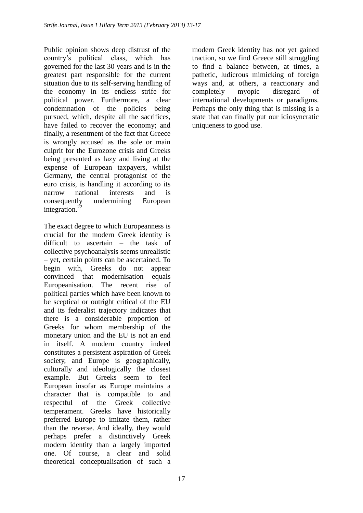Public opinion shows deep distrust of the country"s political class, which has governed for the last 30 years and is in the greatest part responsible for the current situation due to its self-serving handling of the economy in its endless strife for political power. Furthermore, a clear condemnation of the policies being pursued, which, despite all the sacrifices, have failed to recover the economy; and finally, a resentment of the fact that Greece is wrongly accused as the sole or main culprit for the Eurozone crisis and Greeks being presented as lazy and living at the expense of European taxpayers, whilst Germany, the central protagonist of the euro crisis, is handling it according to its narrow national interests and is consequently undermining European integration. $^{22}$ 

The exact degree to which Europeanness is crucial for the modern Greek identity is difficult to ascertain – the task of collective psychoanalysis seems unrealistic – yet, certain points can be ascertained. To begin with, Greeks do not appear convinced that modernisation equals Europeanisation. The recent rise of political parties which have been known to be sceptical or outright critical of the EU and its federalist trajectory indicates that there is a considerable proportion of Greeks for whom membership of the monetary union and the EU is not an end in itself. A modern country indeed constitutes a persistent aspiration of Greek society, and Europe is geographically, culturally and ideologically the closest example. But Greeks seem to feel European insofar as Europe maintains a character that is compatible to and respectful of the Greek collective temperament. Greeks have historically preferred Europe to imitate them, rather than the reverse. And ideally, they would perhaps prefer a distinctively Greek modern identity than a largely imported one. Of course, a clear and solid theoretical conceptualisation of such a modern Greek identity has not yet gained traction, so we find Greece still struggling to find a balance between, at times, a pathetic, ludicrous mimicking of foreign ways and, at others, a reactionary and completely myopic disregard of international developments or paradigms. Perhaps the only thing that is missing is a state that can finally put our idiosyncratic uniqueness to good use.